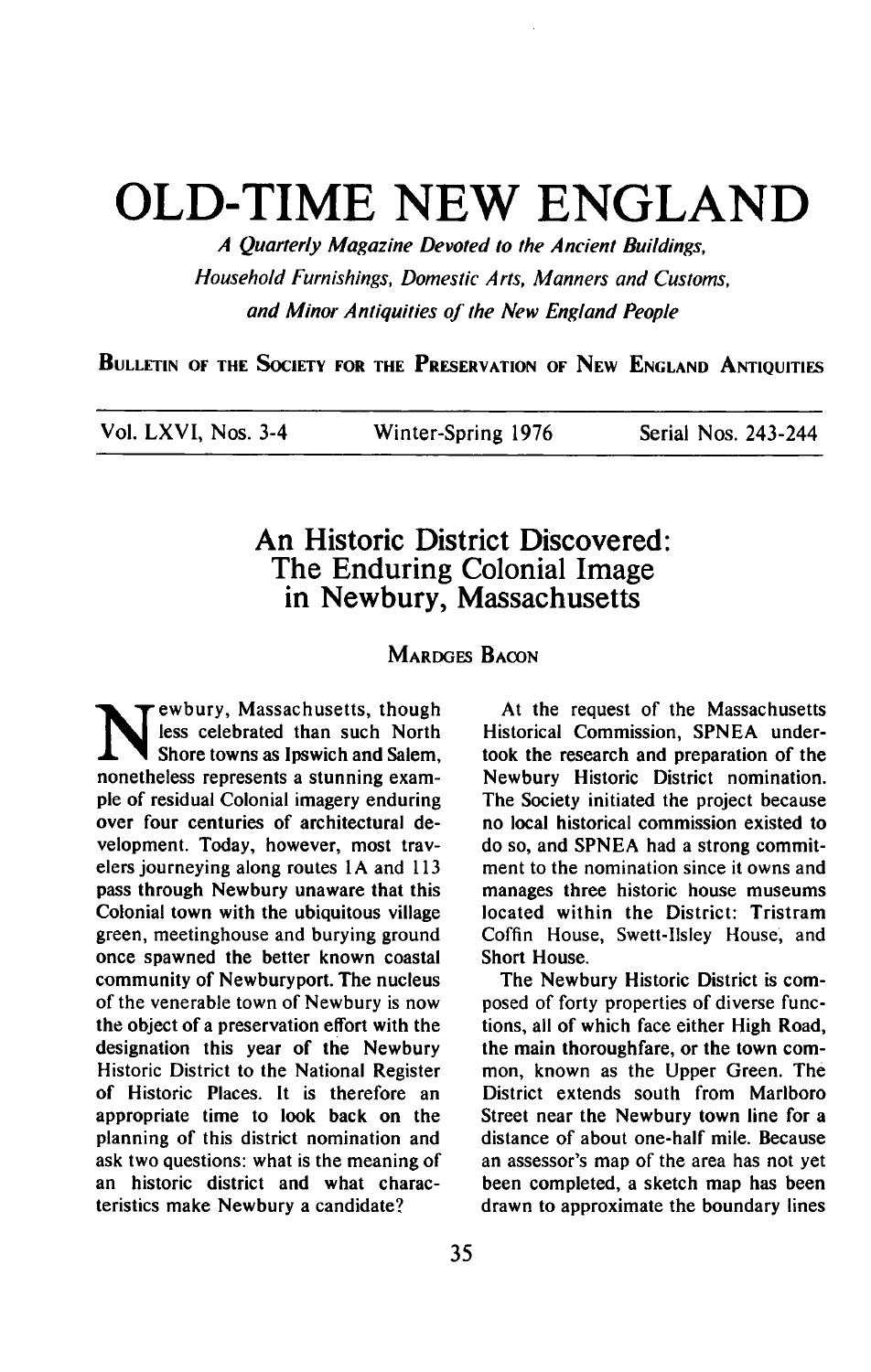## **OLD-TIME NEW ENGLAND**

**A Quarterly Magazine Devoted to the Ancient Buildings, Household Furnishings, Domestic Arts, Manners and Customs,**  and Minor Antiquities of the New England People

**BULLETIN OF THE SOCIETY FOR THE PRESERVATION OF NEW ENGLAND ANTIQUITIES** 

| Vol. LXVI, Nos. 3-4 | Winter-Spring 1976 | Serial Nos. 243-244 |
|---------------------|--------------------|---------------------|
|---------------------|--------------------|---------------------|

## **An Historic District Discovered: The Enduring Colonial Image in Newbury, Massachusetts**

## **MARDGES BACON**

**N** ewbury, Massachusetts, though less celebrated than such North Shore towns as Ipswich and Salem. **less celebrated than such North Shore towns as lpswich and Salem, nonetheless represents a stunning example of residual Colonial imagery enduring over four centuries of architectural development. Today, however, most travelers journeying along routes 1 A and 113 pass through Newbury unaware that this Colonial town with the ubiquitous village green, meetinghouse and burying ground once spawned the better known coastal community of Newburyport. The nucleus of the venerable town of Newbury is now the object of a preservation effort with the designation this year of the Newbury Historic District to the National Register of Historic Places. It is therefore an appropriate time to look back on the planning of this district nomination and ask two questions: what is the meaning of an historic district and what characteristics make Newbury a candidate?** 

**At the request of the Massachusetts Historical Commission, SPNEA undertook the research and preparation of the Newbury Historic District nomination. The Society initiated the project because no local historical commission existed to do so, and SPNEA had a strong commitment to the nomination since it owns and manages three historic house museums located within the District: Tristram Coffin House, Swett-Ilsley House, and Short House.** 

**The Newbury Historic District is composed of forty properties of diverse functions, all of which face either High Road, the main thoroughfare, or the town common, known as the Upper Green. The District extends south from Marlboro Street near the Newbury town line for a distance of about one-half mile. Because**  an assessor's map of the area has not yet **been completed, a sketch map has been drawn to approximate the boundary lines**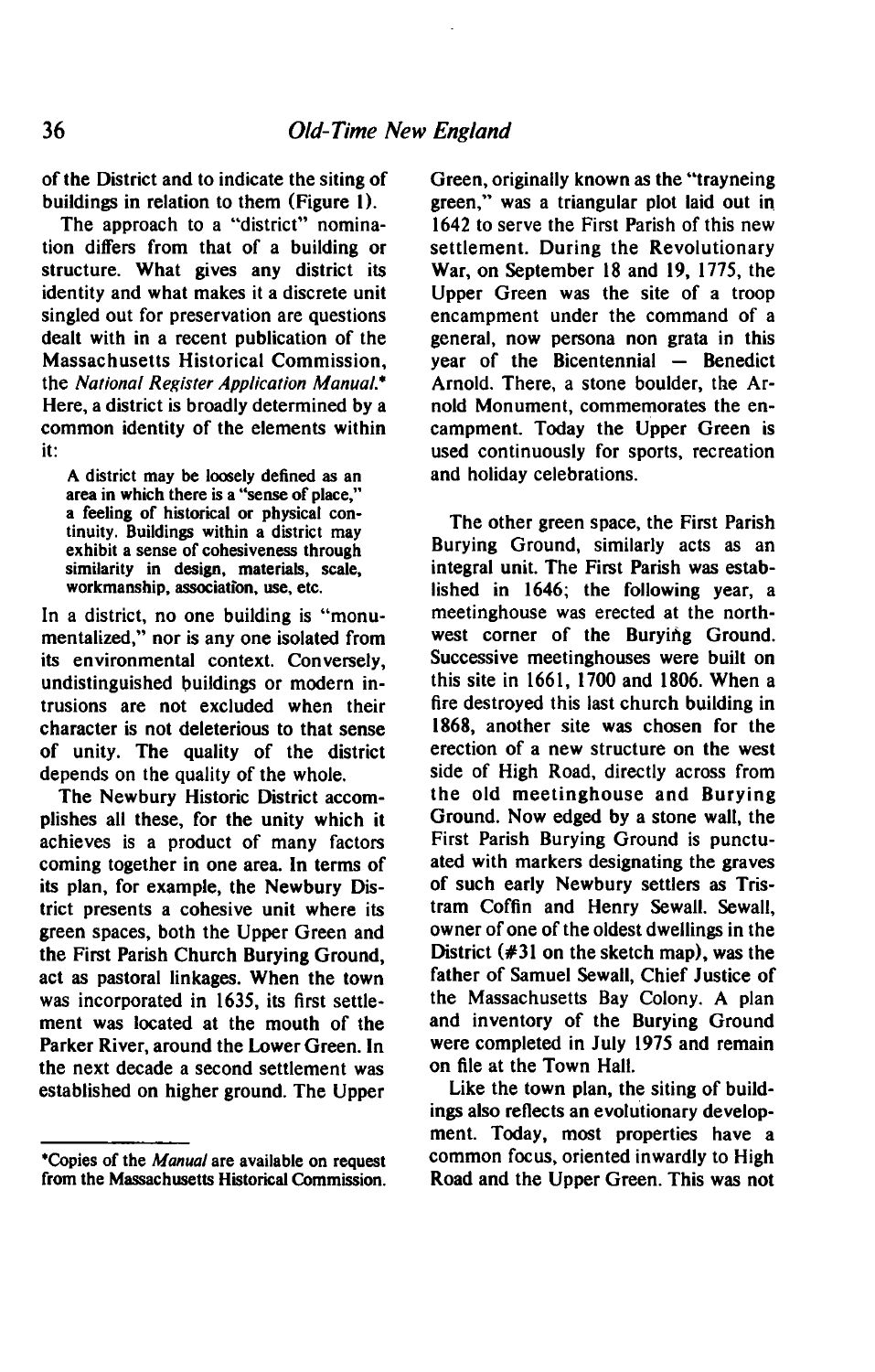**of the District and to indicate the siting of buildings in relation to them (Figure I).** 

**The approach to a "district" nomination differs from that of a building or structure. What gives any district its identity and what makes it a discrete unit singled out for preservation are questions dealt with in a recent publication of the Massachusetts Historical Commission, the National Register Application Manual.' Here, a district is broadly determined by a common identity of the elements within it:** 

**A district may be loosely defined as an area in which there is a "sense of place," a feeling of historical or physical continuity. Buildings within a district may exhibit a sense of cohesiveness through similarity in design, materials, scale, workmanship, association, use, etc.** 

**In a district, no one building is "monumentalized." nor is any one isolated from its environmental context. Conversely, undistinguished buildings or modern intrusions are not excluded when their character is not deleterious to that sense of unity. The quality of the district depends on the quality of the whole.** 

**The Newbury Historic District accomplishes all these, for the unity which it achieves is a product of many factors coming together in one area. In terms of its plan, for example, the Newbury District presents a cohesive unit where its green spaces, both the Upper Green and the First Parish Church Burying Ground, act as pastoral linkages. When the town was incorporated in 1635, its first settlement was located at the mouth of the Parker River, around the Lower Green. In the next decade a second settlement was established on higher ground. The Upper** 

**Green, originally known as the "trayneing green," was a triangular plot laid out in 1642 to serve the First Parish of this new settlement. During the Revolutionary War, on September I8 and 19. 1775, the Upper Green was the site of a troop encampment under the command of a general, now persona non grata in this year of the Bicentennial – Benedict Arnold. There, a stone boulder, the Arnold Monument, commemorates the encampment. Today the Upper Green is used continuously for sports, recreation and holiday celebrations.** 

**The other green space, the First Parish Burying Ground, similarly acts as an integral unit. The First Parish was established in 1646; the following year, a meetinghouse was erected at the northwest corner of the Burying Ground. Successive meetinghouses were built on this site in 1661, 1700 and 1806. When a tire destroyed this last church building in 1868, another site was chosen for the erection of a new structure on the west side of High Road, directly across from the old meetinghouse and Burying Ground. Now edged by a stone wall, the First Parish Burying Ground is punctuated with markers designating the graves of such early Newbury settlers as Tristram Coffin and Henry Sewall. Sewall, owner of one of the oldest dwellings in the District (#3l on the sketch map), was the father of Samuel Sewall, Chief Justice of the Massachusetts Bay Colony. A plan and inventory of the Burying Ground were completed in July 1975 and remain on file at the Town Hall.** 

**Like the town plan, the siting of buildings also reflects an evolutionary development. Today, most properties have a common focus, oriented inwardly to High Road and the Upper Green. This was not** 

**<sup>\*</sup>Copies of the Manual are available on request from the Massachusetts Historical Commission.**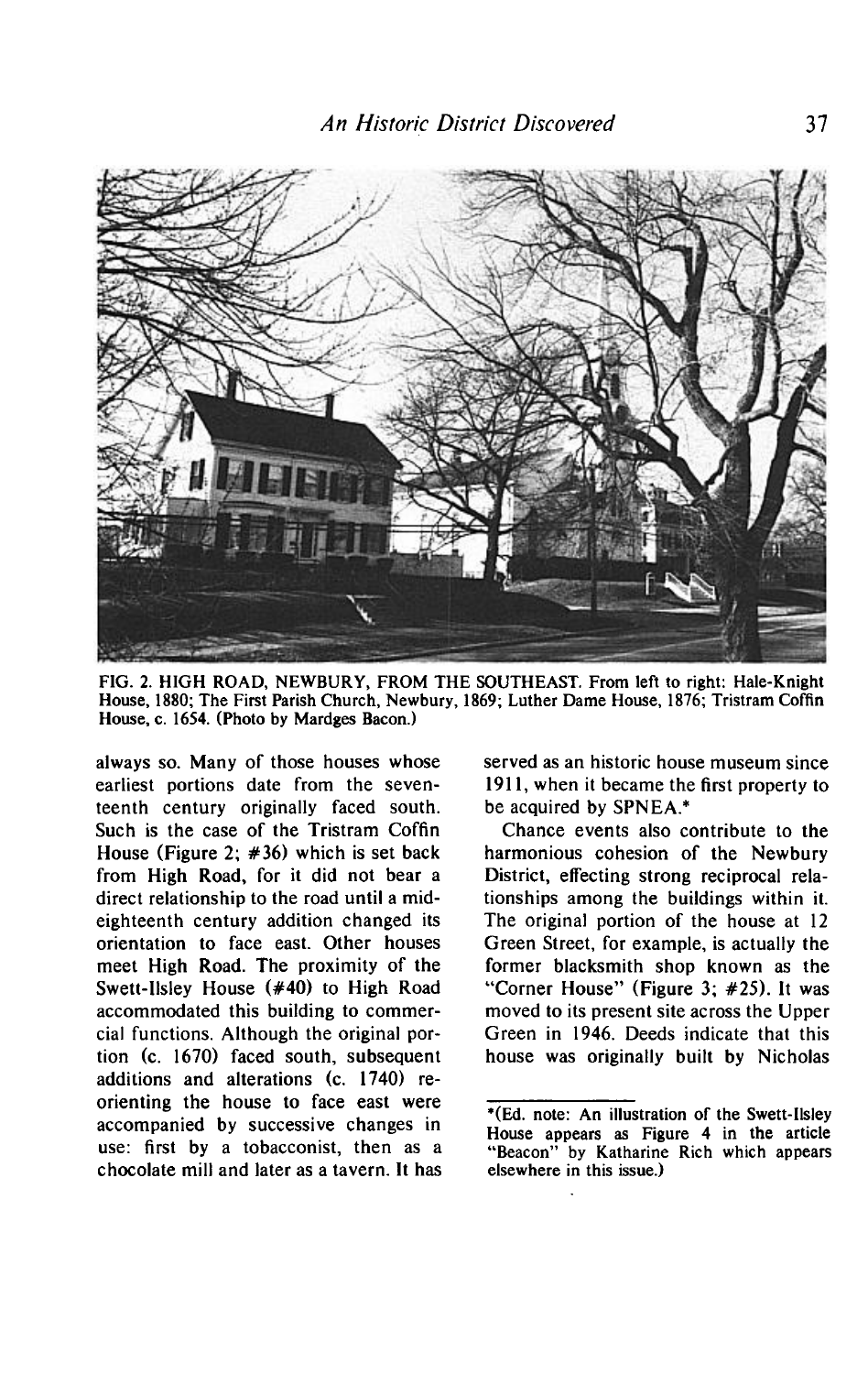

**FIG. 2. HIGH ROAD, NEWBURY, FROM THE SOUTHEAST. From left to right: Hale-Knight House, 1880; The First Parish Church, Newbury, 1869; Luther Dame House, 1876; Tristram Coffin House, c. 1654. (Photo by Mardges Bacon.)** 

**always so. Many of those houses whose earliest portions date from the seventeenth century originally faced south. Such is the case of the Tristram Coffin House (Figure 2; #36) which is set back from High Road, for it did not bear a direct relationship to the road until a mideighteenth century addition changed its orientation to face east. Other houses meet High Road. The proximity of the Swett-llsley House (#40) to High Road accommodated this building to commercial functions. Although the original portion (c. 1670) faced south, subsequent additions and alterations (c. 1740) reorienting the house to face east were accompanied by successive changes in use: first by a tobacconist, then as a chocolate mill and later as a tavern. It has**  **served as an historic house museum since 1911, when it became the first property to be acquired by SPNEA.\*** 

**Chance events also contribute to the harmonious cohesion of the Newbury District, effecting strong reciprocal relationships among the buildings within it. The original portion of the house at 12 Green Street, for example, is actually the former blacksmith shop known as the "Corner House" (Figure 3; #25). It was moved to its present site across the Upper Green in 1946. Deeds indicate that this house was originally built by Nicholas** 

**<sup>\*(</sup>Ed. note: An illustration of the Swett-llsley House appears as Figure 4 in the article "Beacon" by Katharine Rich which appears elsewhere in this issue.)**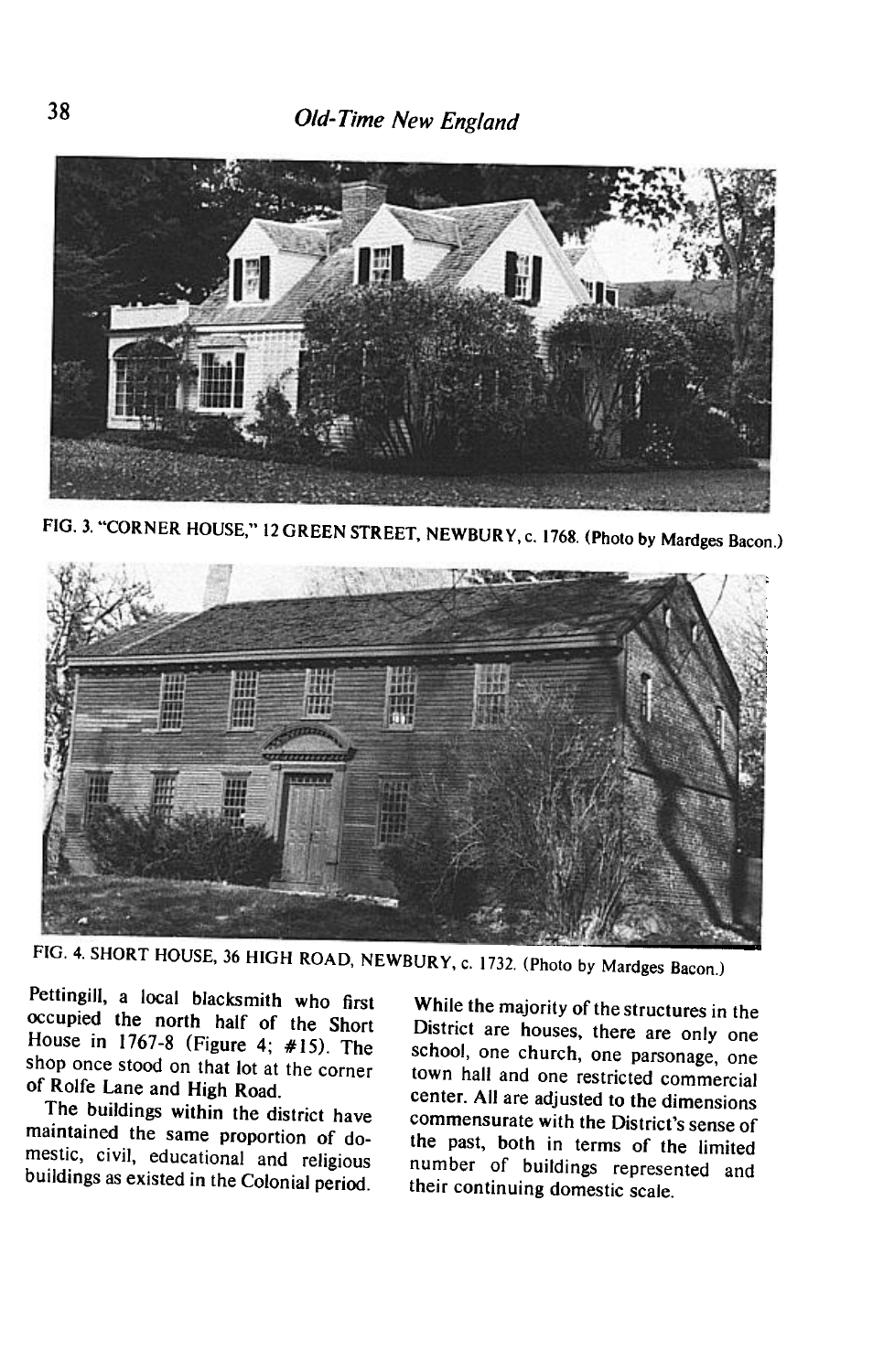

**FIG. 3. "CORNER HOUSE," 12 GREEN STREET, NEWBURY, c. 1768. (Photo by Mardges Bacon.)** 



**FIG. 4. SHORT HOUSE, 36 HIGH ROAD, NEWBURY, c. 1732. (Photo by Mardges Bacon.)** 

**Pettingill, a local blacksmith who first occupied the north half of the Short House in 1767-8 (Figure 4; #15). The shop once stood on that lot at the corner of Rolfe Lane and High Road.** 

**The buildings within the district have maintained the same proportion of domestic, civil, educational and religious buildings as existed in the Colonial period. heir continuing domestic scale.** 

**While the majority of the structures in the District and indicate** on the structures in the District are houses, there are only one school, one church, one parsonage, one town hall and one restricted commercial center. All are adjusted to the dimensions commensurate with the District's sense of the past, both in terms of the limited number of buildings represented and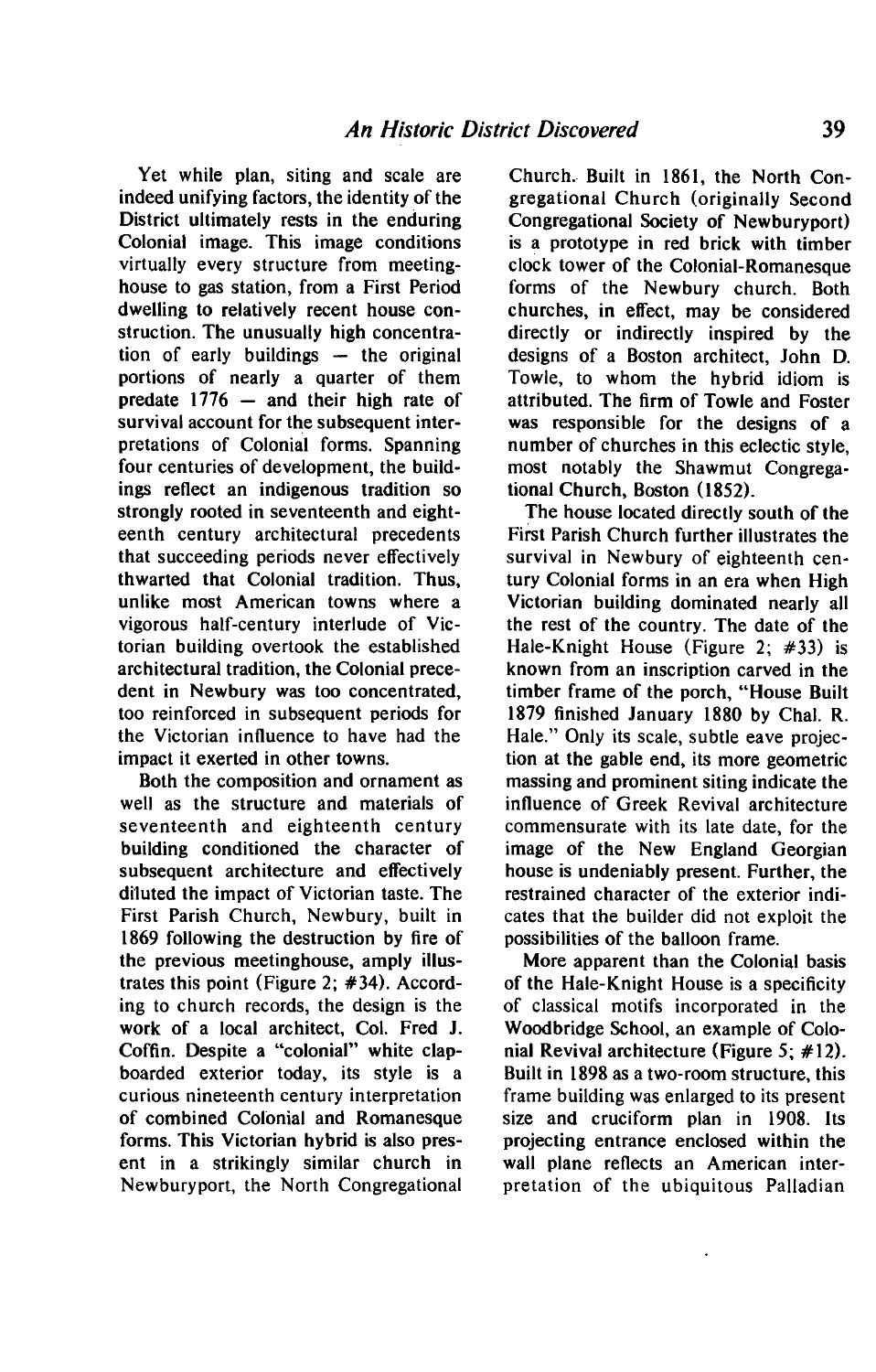**Yet while plan, siting and scale are indeed unifying factors, the identity of the District ultimately rests in the enduring Colonial image. This image conditions virtually every structure from meetinghouse to gas station, from a First Period dwelling to relatively recent house construction. The unusually high concentration of early buildings - the original portions of nearly a quarter of them predate 1776 - and their high rate of survival account for the subsequent interpretations of Colonial forms. Spanning four centuries of development, the buildings reflect an indigenous tradition so strongly rooted in seventeenth and eighteenth century architectural precedents that succeeding periods never effectively thwarted that Colonial tradition. Thus, unlike most American towns where a vigorous half-century interlude of Victorian building overtook the established architectural tradition, the Colonial precedent in Newbury was too concentrated, too reinforced in subsequent periods for the Victorian influence to have had the impact it exerted in other towns.** 

**Both the composition and ornament as well as the structure and materials of seventeenth and eighteenth century building conditioned the character of subsequent architecture and effectively diluted the impact of Victorian taste. The First Parish Church, Newbury, built in 1869 following the destruction by fire of the previous meetinghouse, amply illustrates this point (Figure 2; #34). According to church records, the design is the work of a local architect, Col. Fred J. Coffin. Despite a "colonial" white clapboarded exterior today, its style is a curious nineteenth century interpretation of combined Colonial and Romanesque forms. This Victorian hybrid is also present in a strikingly similar church in Newburyport, the North Congregational** 

**Church.- Built in 1861, the North Congregational Church (originally Second Congregational Society of Newburyport) is a prototype in red brick with timber clock tower of the Colonial-Romanesque forms of the Newbury church. Both churches, in effect, may be considered directly or indirectly inspired by the designs of a Boston architect, John D. Towle, to whom the hybrid idiom is attributed. The firm of Towle and Foster was responsible for the designs of a number of churches in this eclectic style, most notably the Shawmut Congregational Church, Boston (1852).** 

**The house located directly south of the First Parish Church further illustrates the survival in Newbury of eighteenth century Colonial forms in an era when High Victorian building dominated nearly all the rest of the country. The date of the Hale-Knight House (Figure 2; #33) is known from an inscription carved in the timber frame of the porch, "House Built 1879 finished January 1880 by Chal. R. Hale." Only its scale, subtle eave projection at the gable end, its more geometric massing and prominent siting indicate the influence of Greek Revival architecture commensurate with its late date, for the image of the New England Georgian house is undeniably present. Further, the restrained character of the exterior indicates that the builder did not exploit the possibilities of the balloon frame.** 

**More apparent than the Colonial basis of the Hale-Knight House is a specificity of classical motifs incorporated in the Woodbridge School, an example of Colonial Revival architecture (Figure 5; #l2). Built in 1898 as a two-room structure, this frame building was enlarged to its present size and cruciform plan in 1908. Its projecting entrance enclosed within the wall plane reflects an American interpretation of the ubiquitous Palladian**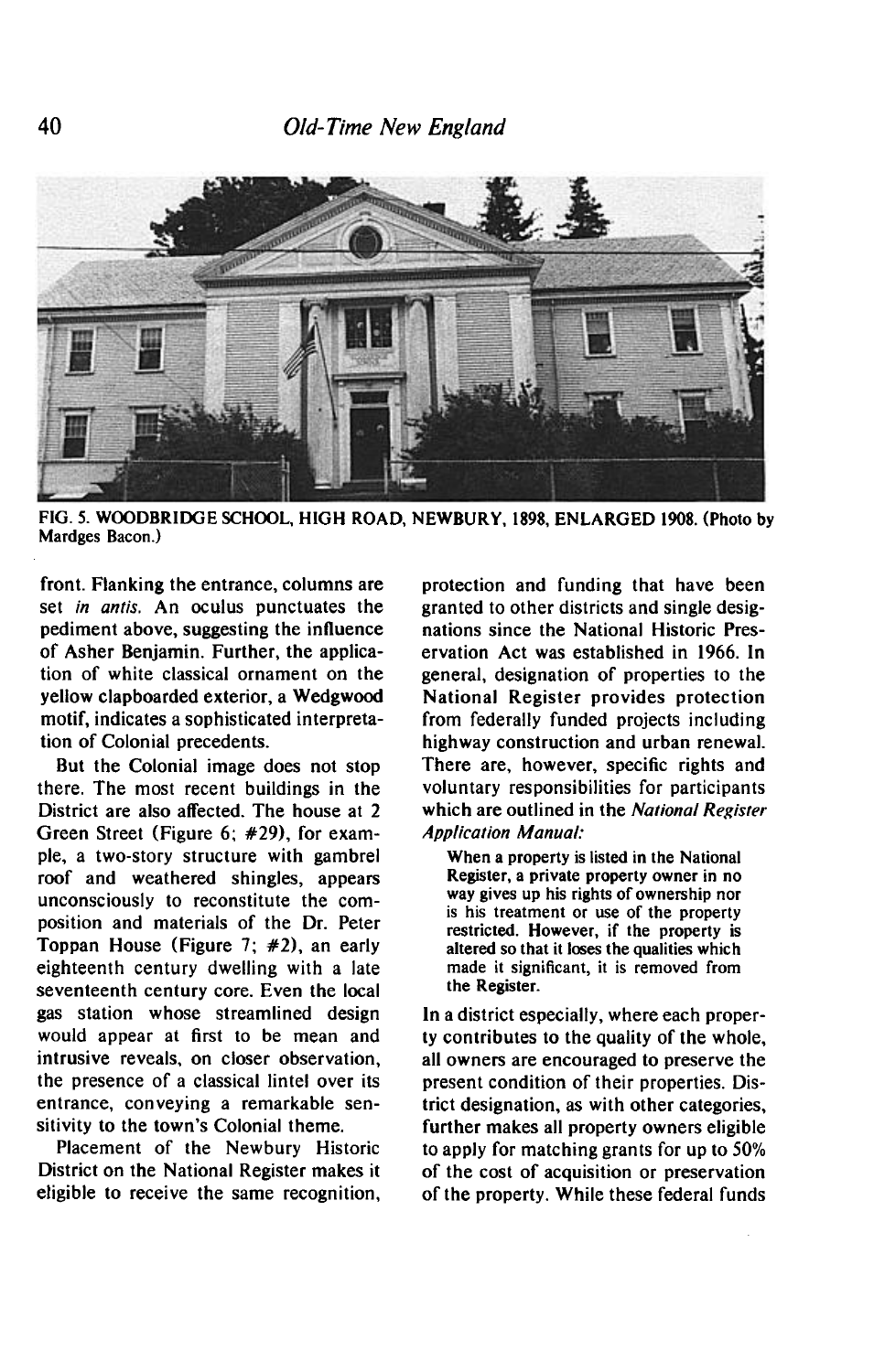

**FIG. 5. WOODBRIDGE SCHOOL, HIGH ROAD, NEWBURY. 1898, ENLARGED 1908. (Photo by Mardges Bacon.)** 

**front. Flanking the entrance, columns are set in antis. An oculus punctuates the pediment above, suggesting the influence of Asher Benjamin. Further, the application of white classical ornament on the yellow clapboarded exterior, a Wedgwood motif, indicates a sophisticated interpretation of Colonial precedents.** 

**But the Colonial image does not stop there. The most recent buildings in the District are also affected. The house at 2 Green Street (Figure 6; #29), for example, a two-story structure with gambrel roof and weathered shingles, appears unconsciously to reconstitute the composition and materials of the Dr. Peter Toppan House (Figure 7; #2), an early eighteenth century dwelling with a late seventeenth century core. Even the local gas station whose streamlined design would appear at first to be mean and intrusive reveals, on closer observation, the presence of a classical lintel over its entrance, conveying a remarkable sen**sitivity to the town's Colonial theme.

**Placement of the Newbury Historic District on the National Register makes it eligible to receive the same recognition,**  **protection and funding that have been granted to other districts and single designations since the National Historic Preservation Act was established in 1966. In general, designation of properties to the National Register provides protection from federally funded projects including highway construction and urban renewal. There are, however, specific rights and voluntary responsibilities for participants which are outlined in the National Register Application Manual:** 

**When a property is listed in the National Register, a private property owner in no way gives up his rights of ownership nor is his treatment or use of the property restricted. However, if the property is altered so that it loses the qualities which made it significant, it is removed from the Register.** 

**In a district especially, where each property contributes to the quality of the whole, all owners are encouraged to preserve the present condition of their properties. District designation, as with other categories, further makes all property owners eligible to apply for matching grants for up to 50% of the cost of acquisition or preservation of the property. While these federal funds**